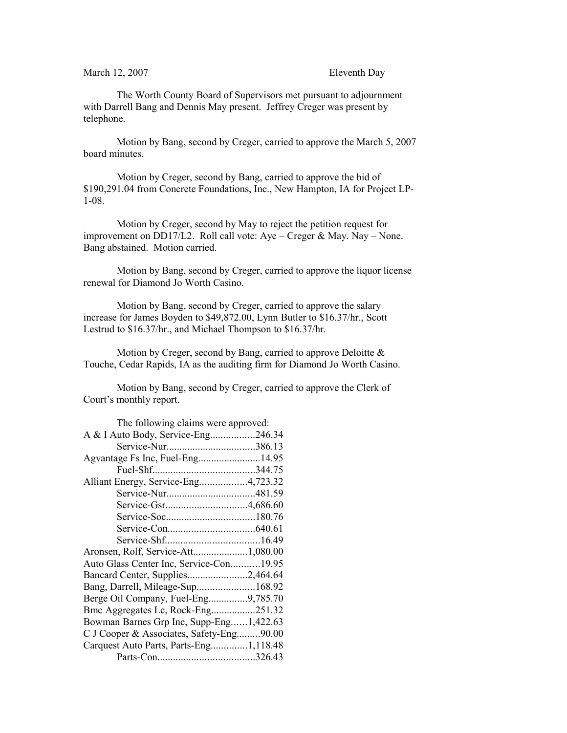March 12, 2007 Eleventh Day

The Worth County Board of Supervisors met pursuant to adjournment with Darrell Bang and Dennis May present. Jeffrey Creger was present by telephone.

Motion by Bang, second by Creger, carried to approve the March 5, 2007 board minutes.

Motion by Creger, second by Bang, carried to approve the bid of \$190,291.04 from Concrete Foundations, Inc., New Hampton, IA for Project LP-1-08.

Motion by Creger, second by May to reject the petition request for improvement on DD17/L2. Roll call vote: Aye – Creger & May. Nay – None. Bang abstained. Motion carried.

Motion by Bang, second by Creger, carried to approve the liquor license renewal for Diamond Jo Worth Casino.

Motion by Bang, second by Creger, carried to approve the salary increase for James Boyden to \$49,872.00, Lynn Butler to \$16.37/hr., Scott Lestrud to \$16.37/hr., and Michael Thompson to \$16.37/hr.

Motion by Creger, second by Bang, carried to approve Deloitte & Touche, Cedar Rapids, IA as the auditing firm for Diamond Jo Worth Casino.

Motion by Bang, second by Creger, carried to approve the Clerk of Court's monthly report.

| The following claims were approved:      |  |
|------------------------------------------|--|
| A & I Auto Body, Service-Eng246.34       |  |
|                                          |  |
|                                          |  |
|                                          |  |
| Alliant Energy, Service-Eng4,723.32      |  |
|                                          |  |
|                                          |  |
|                                          |  |
|                                          |  |
|                                          |  |
| Aronsen, Rolf, Service-Att1,080.00       |  |
| Auto Glass Center Inc, Service-Con19.95  |  |
| Bancard Center, Supplies2,464.64         |  |
| Bang, Darrell, Mileage-Sup168.92         |  |
| Berge Oil Company, Fuel-Eng9,785.70      |  |
| Bmc Aggregates Lc, Rock-Eng251.32        |  |
| Bowman Barnes Grp Inc, Supp-Eng1,422.63  |  |
| C J Cooper & Associates, Safety-Eng90.00 |  |
| Carquest Auto Parts, Parts-Eng1,118.48   |  |
|                                          |  |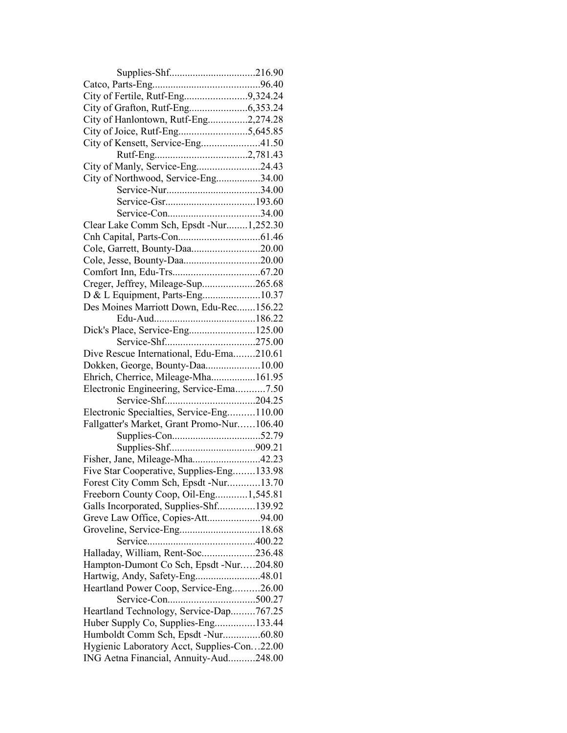| City of Fertile, Rutf-Eng9,324.24           |  |
|---------------------------------------------|--|
|                                             |  |
| City of Hanlontown, Rutf-Eng2,274.28        |  |
|                                             |  |
| City of Kensett, Service-Eng41.50           |  |
|                                             |  |
| City of Manly, Service-Eng24.43             |  |
| City of Northwood, Service-Eng34.00         |  |
|                                             |  |
|                                             |  |
|                                             |  |
| Clear Lake Comm Sch, Epsdt -Nur1,252.30     |  |
|                                             |  |
| Cole, Garrett, Bounty-Daa20.00              |  |
| Cole, Jesse, Bounty-Daa20.00                |  |
|                                             |  |
|                                             |  |
| Creger, Jeffrey, Mileage-Sup265.68          |  |
| D & L Equipment, Parts-Eng10.37             |  |
| Des Moines Marriott Down, Edu-Rec156.22     |  |
|                                             |  |
| Dick's Place, Service-Eng125.00             |  |
|                                             |  |
| Dive Rescue International, Edu-Ema210.61    |  |
| Dokken, George, Bounty-Daa10.00             |  |
| Ehrich, Cherrice, Mileage-Mha161.95         |  |
| Electronic Engineering, Service-Ema7.50     |  |
|                                             |  |
| Electronic Specialties, Service-Eng110.00   |  |
| Fallgatter's Market, Grant Promo-Nur106.40  |  |
|                                             |  |
|                                             |  |
| Fisher, Jane, Mileage-Mha42.23              |  |
| Five Star Cooperative, Supplies-Eng133.98   |  |
| Forest City Comm Sch, Epsdt -Nur13.70       |  |
| Freeborn County Coop, Oil-Eng1,545.81       |  |
| Galls Incorporated, Supplies-Shf139.92      |  |
| Greve Law Office, Copies-Att94.00           |  |
| Groveline, Service-Eng18.68                 |  |
|                                             |  |
| Halladay, William, Rent-Soc236.48           |  |
| Hampton-Dumont Co Sch, Epsdt -Nur204.80     |  |
| Hartwig, Andy, Safety-Eng48.01              |  |
| Heartland Power Coop, Service-Eng26.00      |  |
|                                             |  |
| Heartland Technology, Service-Dap767.25     |  |
| Huber Supply Co, Supplies-Eng133.44         |  |
| Humboldt Comm Sch, Epsdt -Nur60.80          |  |
|                                             |  |
| Hygienic Laboratory Acct, Supplies-Con22.00 |  |
| ING Aetna Financial, Annuity-Aud248.00      |  |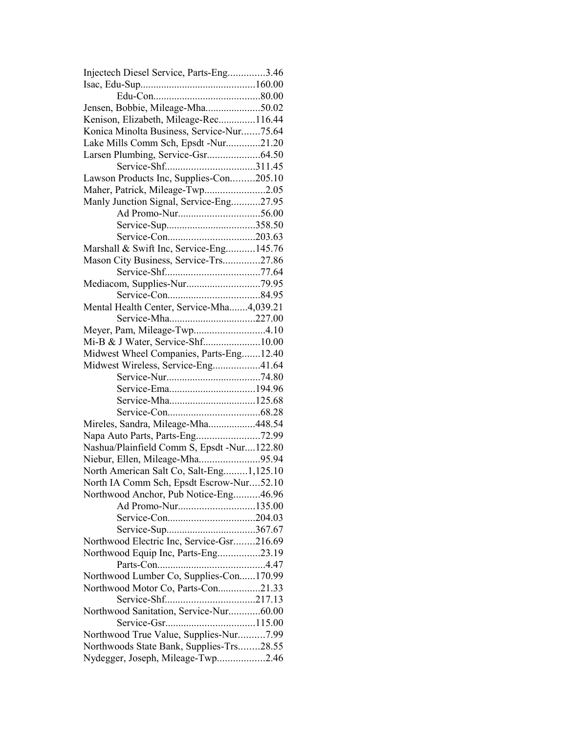| Injectech Diesel Service, Parts-Eng3.46    |  |
|--------------------------------------------|--|
|                                            |  |
|                                            |  |
| Jensen, Bobbie, Mileage-Mha50.02           |  |
| Kenison, Elizabeth, Mileage-Rec116.44      |  |
| Konica Minolta Business, Service-Nur75.64  |  |
| Lake Mills Comm Sch, Epsdt -Nur21.20       |  |
|                                            |  |
|                                            |  |
| Lawson Products Inc, Supplies-Con205.10    |  |
| Maher, Patrick, Mileage-Twp2.05            |  |
| Manly Junction Signal, Service-Eng27.95    |  |
|                                            |  |
|                                            |  |
|                                            |  |
| Marshall & Swift Inc, Service-Eng145.76    |  |
| Mason City Business, Service-Trs27.86      |  |
|                                            |  |
|                                            |  |
|                                            |  |
|                                            |  |
| Mental Health Center, Service-Mha4,039.21  |  |
| Service-Mha227.00                          |  |
| Meyer, Pam, Mileage-Twp4.10                |  |
|                                            |  |
| Midwest Wheel Companies, Parts-Eng12.40    |  |
| Midwest Wireless, Service-Eng41.64         |  |
|                                            |  |
|                                            |  |
| Service-Mha125.68                          |  |
|                                            |  |
| Mireles, Sandra, Mileage-Mha448.54         |  |
| Napa Auto Parts, Parts-Eng72.99            |  |
| Nashua/Plainfield Comm S, Epsdt -Nur122.80 |  |
| Niebur, Ellen, Mileage-Mha95.94            |  |
| North American Salt Co, Salt-Eng1,125.10   |  |
| North IA Comm Sch, Epsdt Escrow-Nur52.10   |  |
| Northwood Anchor, Pub Notice-Eng46.96      |  |
| Ad Promo-Nur135.00                         |  |
|                                            |  |
|                                            |  |
| Northwood Electric Inc, Service-Gsr216.69  |  |
| Northwood Equip Inc, Parts-Eng23.19        |  |
|                                            |  |
| Northwood Lumber Co, Supplies-Con170.99    |  |
| Northwood Motor Co, Parts-Con21.33         |  |
|                                            |  |
| Northwood Sanitation, Service-Nur60.00     |  |
|                                            |  |
| Northwood True Value, Supplies-Nur7.99     |  |
| Northwoods State Bank, Supplies-Trs28.55   |  |
|                                            |  |
| Nydegger, Joseph, Mileage-Twp2.46          |  |